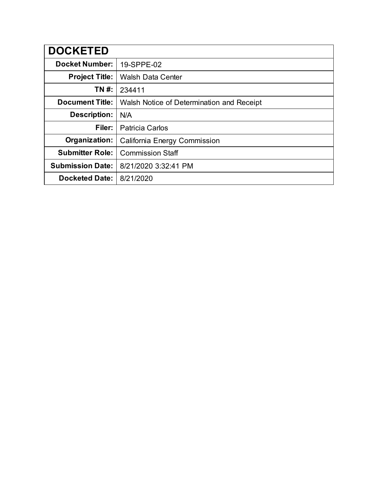| <b>DOCKETED</b>         |                                           |
|-------------------------|-------------------------------------------|
| <b>Docket Number:</b>   | 19-SPPE-02                                |
| <b>Project Title:</b>   | <b>Walsh Data Center</b>                  |
| TN #:                   | 234411                                    |
| <b>Document Title:</b>  | Walsh Notice of Determination and Receipt |
| <b>Description:</b>     | N/A                                       |
| Filer:                  | <b>Patricia Carlos</b>                    |
| Organization:           | <b>California Energy Commission</b>       |
| <b>Submitter Role:</b>  | <b>Commission Staff</b>                   |
| <b>Submission Date:</b> | 8/21/2020 3:32:41 PM                      |
| <b>Docketed Date:</b>   | 8/21/2020                                 |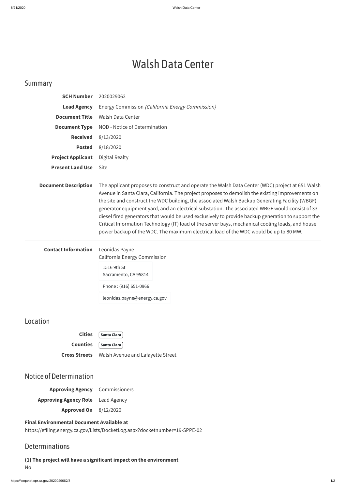# Walsh Data Center

# Summary

| <b>SCH Number</b>           | 2020029062                                                                                                                                                                                                                                                                                                                                                                                                                                                                                                                                                                                                                                                                                                     |
|-----------------------------|----------------------------------------------------------------------------------------------------------------------------------------------------------------------------------------------------------------------------------------------------------------------------------------------------------------------------------------------------------------------------------------------------------------------------------------------------------------------------------------------------------------------------------------------------------------------------------------------------------------------------------------------------------------------------------------------------------------|
| <b>Lead Agency</b>          | Energy Commission (California Energy Commission)                                                                                                                                                                                                                                                                                                                                                                                                                                                                                                                                                                                                                                                               |
| <b>Document Title</b>       | <b>Walsh Data Center</b>                                                                                                                                                                                                                                                                                                                                                                                                                                                                                                                                                                                                                                                                                       |
| <b>Document Type</b>        | NOD - Notice of Determination                                                                                                                                                                                                                                                                                                                                                                                                                                                                                                                                                                                                                                                                                  |
| <b>Received</b>             | 8/13/2020                                                                                                                                                                                                                                                                                                                                                                                                                                                                                                                                                                                                                                                                                                      |
| <b>Posted</b>               | 8/18/2020                                                                                                                                                                                                                                                                                                                                                                                                                                                                                                                                                                                                                                                                                                      |
| <b>Project Applicant</b>    | <b>Digital Realty</b>                                                                                                                                                                                                                                                                                                                                                                                                                                                                                                                                                                                                                                                                                          |
| <b>Present Land Use</b>     | <b>Site</b>                                                                                                                                                                                                                                                                                                                                                                                                                                                                                                                                                                                                                                                                                                    |
| <b>Document Description</b> | The applicant proposes to construct and operate the Walsh Data Center (WDC) project at 651 Walsh<br>Avenue in Santa Clara, California. The project proposes to demolish the existing improvements on<br>the site and construct the WDC building, the associated Walsh Backup Generating Facility (WBGF)<br>generator equipment yard, and an electrical substation. The associated WBGF would consist of 33<br>diesel fired generators that would be used exclusively to provide backup generation to support the<br>Critical Information Technology (IT) load of the server bays, mechanical cooling loads, and house<br>power backup of the WDC. The maximum electrical load of the WDC would be up to 80 MW. |
| <b>Contact Information</b>  | Leonidas Payne<br><b>California Energy Commission</b><br>1516 9th St<br>Sacramento, CA 95814<br>Phone: (916) 651-0966<br>leonidas.payne@energy.ca.gov                                                                                                                                                                                                                                                                                                                                                                                                                                                                                                                                                          |
| Location                    |                                                                                                                                                                                                                                                                                                                                                                                                                                                                                                                                                                                                                                                                                                                |

**Cities Santa Clara**

**Counties Santa Clara**

**Cross Streets** Walsh Avenue and Lafayette Street

# Notice of Determination

**Approving Agency** Commissioners **Approving Agency Role** Lead Agency **Approved On** 8/12/2020

#### **Final Environmental Document Available at**

https://efiling.energy.ca.gov/Lists/DocketLog.aspx?docketnumber=19-SPPE-02

### **Determinations**

**(1) The project will have a significant impact on the environment** No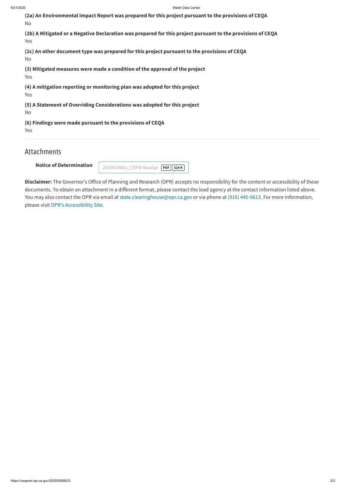**Notice of Determination**

| (2a) An Environmental Impact Report was prepared for this project pursuant to the provisions of CEQA<br>No         |
|--------------------------------------------------------------------------------------------------------------------|
| (2b) A Mitigated or a Negative Declaration was prepared for this project pursuant to the provisions of CEQA<br>Yes |
| (2c) An other document type was prepared for this project pursuant to the provisions of CEQA<br>No                 |
| (3) Mitigated measures were made a condition of the approval of the project<br>Yes                                 |
| (4) A mitigation reporting or monitoring plan was adopted for this project<br>Yes                                  |
| (5) A Statement of Overriding Considerations was adopted for this project<br>No                                    |
| (6) Findings were made pursuant to the provisions of CEQA<br>Yes                                                   |

Disclaimer: The Governor's Office of Planning and Research (OPR) accepts no responsibility for the content or accessibility of these documents. To obtain an attachment in a different format, please contact the lead agency at the contact information listed above. You may also contact the OPR via email at [state.clearinghouse@opr.ca.gov](mailto:state.clearinghouse@opr.ca.gov) or via phone at (916) [445-0613](tel:9164450613). For more information, please visit OPR's [Accessibility](http://opr.ca.gov/accessibility.html) Site.

# Attachments

[2020029062\\_CDFW](https://ceqanet.opr.ca.gov/2020029062/3/Attachment/yVYxjH) Receipt **PDF 524 K**